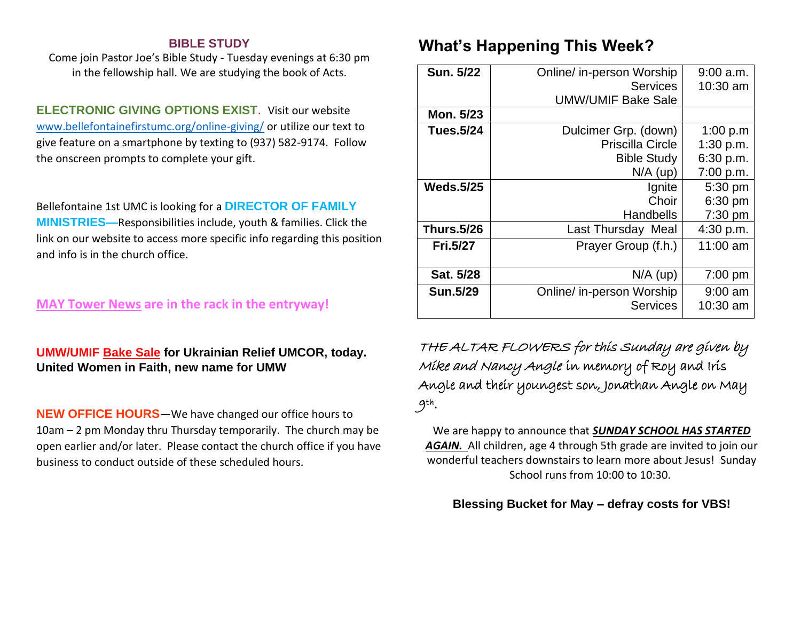### **BIBLE STUDY**

Come join Pastor Joe's Bible Study - Tuesday evenings at 6:30 pm in the fellowship hall. We are studying the book of Acts.

**ELECTRONIC GIVING OPTIONS EXIST**. Visit our website [www.bellefontainefirstumc.org/online-giving/](http://www.bellefontainefirstumc.org/online-giving/) or utilize our text to give feature on a smartphone by texting to (937) 582-9174. Follow the onscreen prompts to complete your gift.

Bellefontaine 1st UMC is looking for a **DIRECTOR OF FAMILY MINISTRIES—**Responsibilities include, youth & families. Click the link on our website to access more specific info regarding this position and info is in the church office.

### **MAY Tower News are in the rack in the entryway!**

## **UMW/UMIF Bake Sale for Ukrainian Relief UMCOR, today. United Women in Faith, new name for UMW**

**NEW OFFICE HOURS**—We have changed our office hours to 10am – 2 pm Monday thru Thursday temporarily. The church may be open earlier and/or later. Please contact the church office if you have business to conduct outside of these scheduled hours.

# **What's Happening This Week?**

| <b>Sun. 5/22</b>  | Online/ in-person Worship<br><b>Services</b> | $9:00$ a.m.<br>10:30 am |
|-------------------|----------------------------------------------|-------------------------|
|                   | <b>UMW/UMIF Bake Sale</b>                    |                         |
| Mon. 5/23         |                                              |                         |
| Tues.5/24         | Dulcimer Grp. (down)                         | 1:00 $p.m$              |
|                   | <b>Priscilla Circle</b>                      | 1:30 p.m.               |
|                   | <b>Bible Study</b>                           | 6:30 p.m.               |
|                   | $N/A$ (up)                                   | 7:00 p.m.               |
| <b>Weds.5/25</b>  | Ignite                                       | 5:30 pm                 |
|                   | Choir                                        | 6:30 pm                 |
|                   | <b>Handbells</b>                             | 7:30 pm                 |
| <b>Thurs.5/26</b> | Last Thursday Meal                           | 4:30 p.m.               |
| <b>Fri.5/27</b>   | Prayer Group (f.h.)                          | 11:00 am                |
| Sat. 5/28         | $N/A$ (up)                                   | 7:00 pm                 |
| <b>Sun.5/29</b>   | Online/ in-person Worship                    | $9:00$ am               |
|                   | <b>Services</b>                              | 10:30 am                |

THE ALTAR FLOWERS for this Sunday are given by Mike and Nancy Angle in memory of Roy and Iris Angle and their youngest son, Jonathan Angle on May 9th .

We are happy to announce that *SUNDAY SCHOOL HAS STARTED*  AGAIN. All children, age 4 through 5th grade are invited to join our wonderful teachers downstairs to learn more about Jesus! Sunday School runs from 10:00 to 10:30.

### **Blessing Bucket for May – defray costs for VBS!**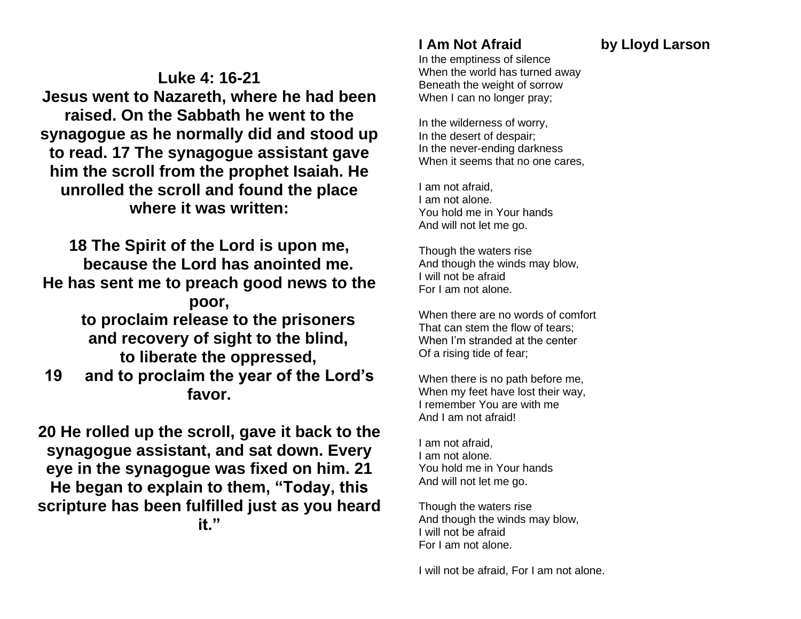**Luke 4: 16-21 Jesus went to Nazareth, where he had been raised. On the Sabbath he went to the synagogue as he normally did and stood up to read. 17 The synagogue assistant gave him the scroll from the prophet Isaiah. He unrolled the scroll and found the place where it was written:**

**18 The Spirit of the Lord is upon me, because the Lord has anointed me. He has sent me to preach good news to the poor, to proclaim release to the prisoners and recovery of sight to the blind, to liberate the oppressed, 19 and to proclaim the year of the Lord's favor.**

**20 He rolled up the scroll, gave it back to the synagogue assistant, and sat down. Every eye in the synagogue was fixed on him. 21 He began to explain to them, "Today, this scripture has been fulfilled just as you heard it."**

# **I Am Not Afraid by Lloyd Larson**

In the emptiness of silence When the world has turned away Beneath the weight of sorrow When I can no longer pray;

In the wilderness of worry, In the desert of despair; In the never-ending darkness When it seems that no one cares,

I am not afraid, I am not alone. You hold me in Your hands And will not let me go.

Though the waters rise And though the winds may blow, I will not be afraid For I am not alone.

When there are no words of comfort That can stem the flow of tears; When I'm stranded at the center Of a rising tide of fear;

When there is no path before me, When my feet have lost their way, I remember You are with me And I am not afraid!

I am not afraid, I am not alone. You hold me in Your hands And will not let me go.

Though the waters rise And though the winds may blow, I will not be afraid For I am not alone.

I will not be afraid, For I am not alone.